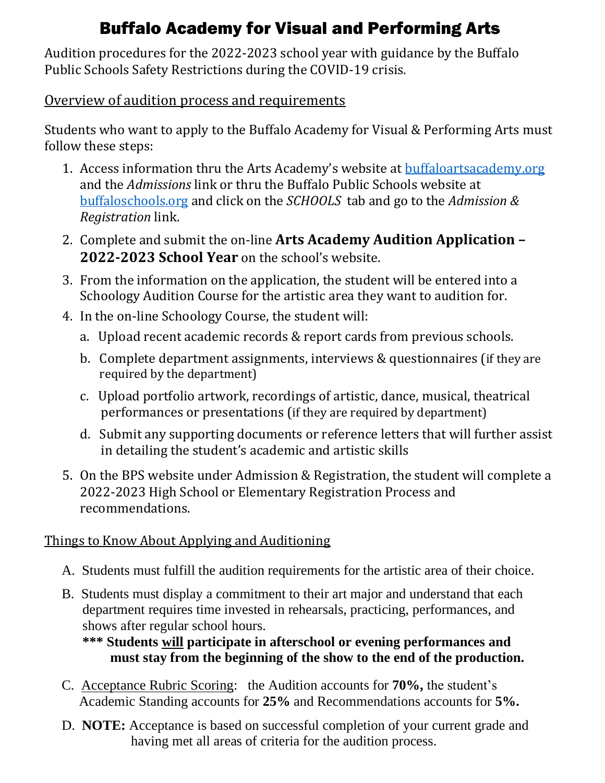# Buffalo Academy for Visual and Performing Arts

Audition procedures for the 2022-2023 school year with guidance by the Buffalo Public Schools Safety Restrictions during the COVID-19 crisis.

### Overview of audition process and requirements

Students who want to apply to the Buffalo Academy for Visual & Performing Arts must follow these steps:

- 1. Access information thru the Arts Academy's website at [buffaloartsacademy.org](http://www.buffaloartsacademy.org/) and the *Admissions* link or thru the Buffalo Public Schools website at [buffaloschools.org](http://www.buffaloschools.org/) and click on the *SCHOOLS* tab and go to the *Admission & Registration* link.
- 2. Complete and submit the on-line **Arts Academy Audition Application – 2022-2023 School Year** on the school's website.
- 3. From the information on the application, the student will be entered into a Schoology Audition Course for the artistic area they want to audition for.
- 4. In the on-line Schoology Course, the student will:
	- a. Upload recent academic records & report cards from previous schools.
	- b. Complete department assignments, interviews & questionnaires (if they are required by the department)
	- c. Upload portfolio artwork, recordings of artistic, dance, musical, theatrical performances or presentations (if they are required by department)
	- d. Submit any supporting documents or reference letters that will further assist in detailing the student's academic and artistic skills
- 5. On the BPS website under Admission & Registration, the student will complete a 2022-2023 High School or Elementary Registration Process and recommendations.

## Things to Know About Applying and Auditioning

- A. Students must fulfill the audition requirements for the artistic area of their choice.
- B. Students must display a commitment to their art major and understand that each department requires time invested in rehearsals, practicing, performances, and shows after regular school hours.

### **\*\*\* Students will participate in afterschool or evening performances and must stay from the beginning of the show to the end of the production.**

- C. Acceptance Rubric Scoring: the Audition accounts for **70%,** the student's Academic Standing accounts for **25%** and Recommendations accounts for **5%.**
- D. **NOTE:** Acceptance is based on successful completion of your current grade and having met all areas of criteria for the audition process.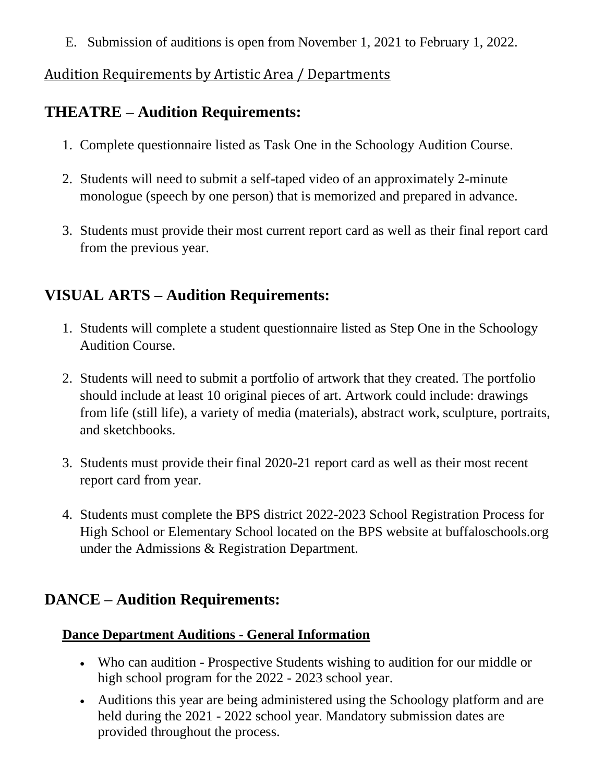E. Submission of auditions is open from November 1, 2021 to February 1, 2022.

### Audition Requirements by Artistic Area / Departments

# **THEATRE – Audition Requirements:**

- 1. Complete questionnaire listed as Task One in the Schoology Audition Course.
- 2. Students will need to submit a self-taped video of an approximately 2-minute monologue (speech by one person) that is memorized and prepared in advance.
- 3. Students must provide their most current report card as well as their final report card from the previous year.

# **VISUAL ARTS – Audition Requirements:**

- 1. Students will complete a student questionnaire listed as Step One in the Schoology Audition Course.
- 2. Students will need to submit a portfolio of artwork that they created. The portfolio should include at least 10 original pieces of art. Artwork could include: drawings from life (still life), a variety of media (materials), abstract work, sculpture, portraits, and sketchbooks.
- 3. Students must provide their final 2020-21 report card as well as their most recent report card from year.
- 4. Students must complete the BPS district 2022-2023 School Registration Process for High School or Elementary School located on the BPS website at buffaloschools.org under the Admissions & Registration Department.

# **DANCE – Audition Requirements:**

## **Dance Department Auditions - General Information**

- Who can audition Prospective Students wishing to audition for our middle or high school program for the 2022 - 2023 school year.
- Auditions this year are being administered using the Schoology platform and are held during the 2021 - 2022 school year. Mandatory submission dates are provided throughout the process.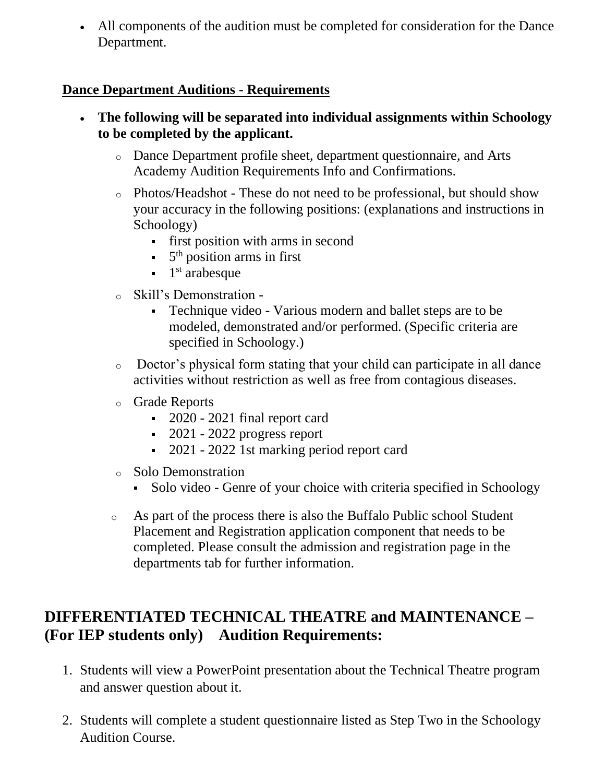• All components of the audition must be completed for consideration for the Dance Department.

### **Dance Department Auditions - Requirements**

- **The following will be separated into individual assignments within Schoology to be completed by the applicant.**
	- o Dance Department profile sheet, department questionnaire, and Arts Academy Audition Requirements Info and Confirmations.
	- o Photos/Headshot These do not need to be professional, but should show your accuracy in the following positions: (explanations and instructions in Schoology)
		- first position with arms in second
		- 5<sup>th</sup> position arms in first
		- 1 st arabesque
	- Skill's Demonstration -
		- Technique video Various modern and ballet steps are to be modeled, demonstrated and/or performed. (Specific criteria are specified in Schoology.)
	- o Doctor's physical form stating that your child can participate in all dance activities without restriction as well as free from contagious diseases.
	- o Grade Reports
		- 2020 2021 final report card
		- $-2021 2022$  progress report
		- 2021 2022 1st marking period report card
	- o Solo Demonstration
		- Solo video Genre of your choice with criteria specified in Schoology
	- o As part of the process there is also the Buffalo Public school Student Placement and Registration application component that needs to be completed. Please consult the admission and registration page in the departments tab for further information.

# **DIFFERENTIATED TECHNICAL THEATRE and MAINTENANCE – (For IEP students only) Audition Requirements:**

- 1. Students will view a PowerPoint presentation about the Technical Theatre program and answer question about it.
- 2. Students will complete a student questionnaire listed as Step Two in the Schoology Audition Course.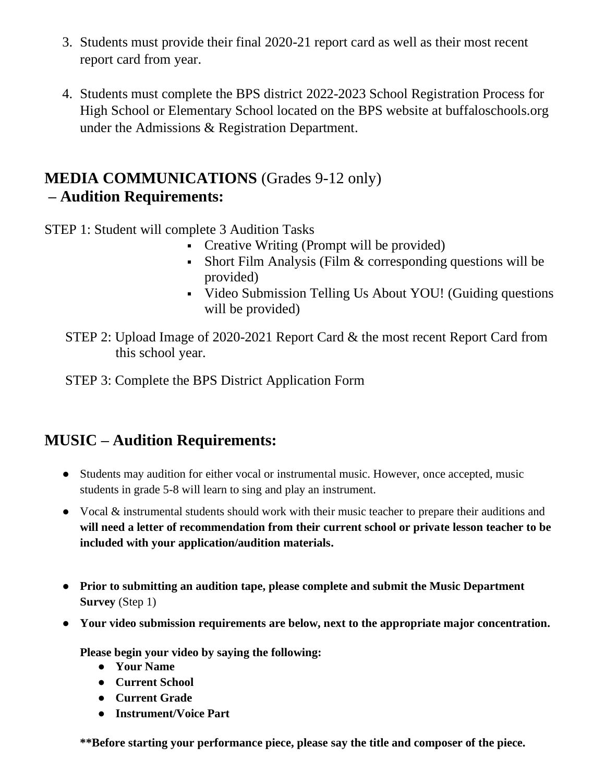- 3. Students must provide their final 2020-21 report card as well as their most recent report card from year.
- 4. Students must complete the BPS district 2022-2023 School Registration Process for High School or Elementary School located on the BPS website at buffaloschools.org under the Admissions & Registration Department.

### **MEDIA COMMUNICATIONS** (Grades 9-12 only) **– Audition Requirements:**

STEP 1: Student will complete 3 Audition Tasks

- Creative Writing (Prompt will be provided)
- Short Film Analysis (Film & corresponding questions will be provided)
- Video Submission Telling Us About YOU! (Guiding questions will be provided)
- STEP 2: Upload Image of 2020-2021 Report Card & the most recent Report Card from this school year.

STEP 3: Complete the BPS District Application Form

# **MUSIC – Audition Requirements:**

- Students may audition for either vocal or instrumental music. However, once accepted, music students in grade 5-8 will learn to sing and play an instrument.
- Vocal & instrumental students should work with their music teacher to prepare their auditions and **will need a letter of recommendation from their current school or private lesson teacher to be included with your application/audition materials.**
- **Prior to submitting an audition tape, please complete and submit the Music Department Survey** (Step 1)
- **Your video submission requirements are below, next to the appropriate major concentration.**

**Please begin your video by saying the following:**

- **Your Name**
- **Current School**
- **Current Grade**
- **Instrument/Voice Part**

**\*\*Before starting your performance piece, please say the title and composer of the piece.**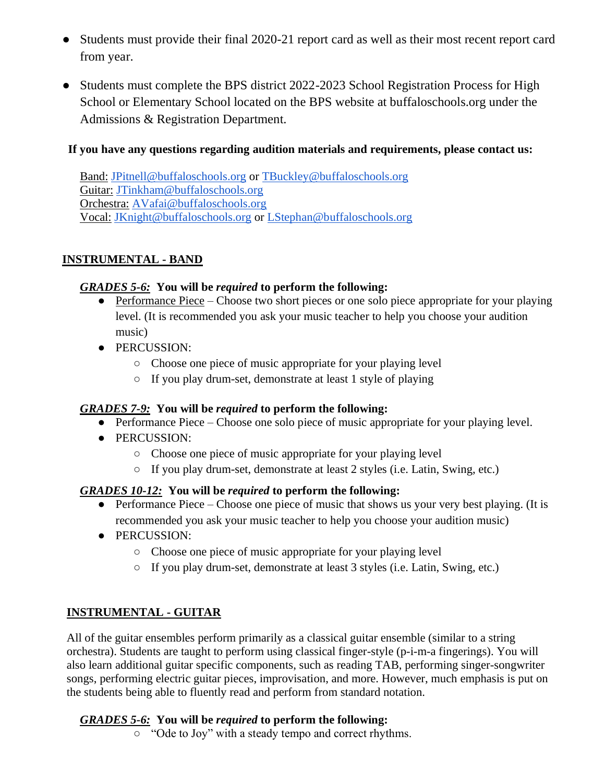- Students must provide their final 2020-21 report card as well as their most recent report card from year.
- Students must complete the BPS district 2022-2023 School Registration Process for High School or Elementary School located on the BPS website at buffaloschools.org under the Admissions & Registration Department.

#### **If you have any questions regarding audition materials and requirements, please contact us:**

Band: [JPitnell@buffaloschools.org](mailto:JPitnell@buffaloschools.org) or [TBuckley@buffaloschools.org](mailto:TBuckley@buffaloschools.org) Guitar: [JTinkham@buffaloschools.org](mailto:JTinkham@buffaloschools.org) Orchestra: [AVafai@buffaloschools.org](mailto:AVafai@buffaloschools.org) Vocal: [JKnight@buffaloschools.org](mailto:JKnight@buffaloschools.org) or [LStephan@buffaloschools.org](mailto:LStephan@buffaloschools.org)

#### **INSTRUMENTAL - BAND**

#### *GRADES 5-6:* **You will be** *required* **to perform the following:**

- Performance Piece Choose two short pieces or one solo piece appropriate for your playing level. (It is recommended you ask your music teacher to help you choose your audition music)
- PERCUSSION:
	- Choose one piece of music appropriate for your playing level
	- If you play drum-set, demonstrate at least 1 style of playing

#### *GRADES 7-9:* **You will be** *required* **to perform the following:**

- Performance Piece Choose one solo piece of music appropriate for your playing level.
- PERCUSSION:
	- Choose one piece of music appropriate for your playing level
	- If you play drum-set, demonstrate at least 2 styles (i.e. Latin, Swing, etc.)

#### *GRADES 10-12:* **You will be** *required* **to perform the following:**

- Performance Piece Choose one piece of music that shows us your very best playing. (It is recommended you ask your music teacher to help you choose your audition music)
- PERCUSSION:
	- Choose one piece of music appropriate for your playing level
	- If you play drum-set, demonstrate at least 3 styles (i.e. Latin, Swing, etc.)

#### **INSTRUMENTAL - GUITAR**

All of the guitar ensembles perform primarily as a classical guitar ensemble (similar to a string orchestra). Students are taught to perform using classical finger-style (p-i-m-a fingerings). You will also learn additional guitar specific components, such as reading TAB, performing singer-songwriter songs, performing electric guitar pieces, improvisation, and more. However, much emphasis is put on the students being able to fluently read and perform from standard notation.

#### *GRADES 5-6:* **You will be** *required* **to perform the following:**

○ "Ode to Joy" with a steady tempo and correct rhythms.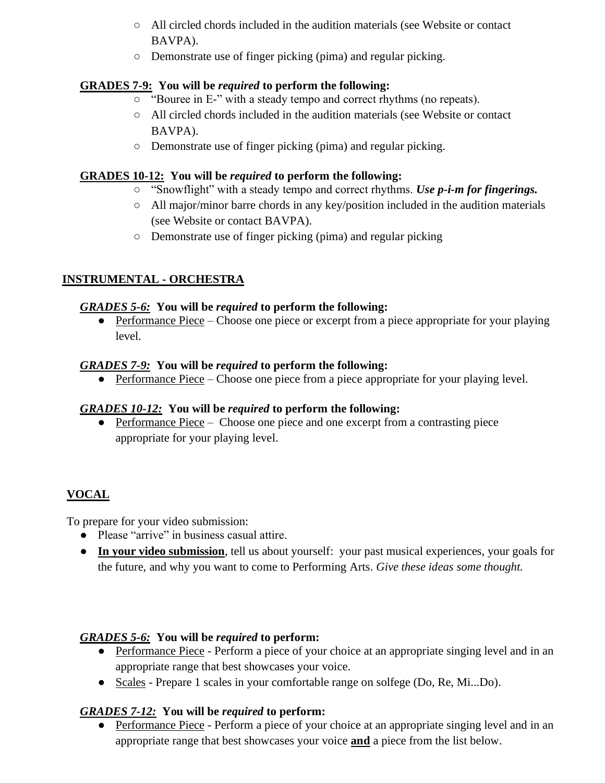- All circled chords included in the audition materials (see Website or contact BAVPA).
- Demonstrate use of finger picking (pima) and regular picking.

#### **GRADES 7-9: You will be** *required* **to perform the following:**

- "Bouree in E-" with a steady tempo and correct rhythms (no repeats).
- All circled chords included in the audition materials (see Website or contact BAVPA).
- Demonstrate use of finger picking (pima) and regular picking.

#### **GRADES 10-12: You will be** *required* **to perform the following:**

- "Snowflight" with a steady tempo and correct rhythms. *Use p-i-m for fingerings.*
- All major/minor barre chords in any key/position included in the audition materials (see Website or contact BAVPA).
- Demonstrate use of finger picking (pima) and regular picking

### **INSTRUMENTAL - ORCHESTRA**

#### *GRADES 5-6:* **You will be** *required* **to perform the following:**

• Performance Piece – Choose one piece or excerpt from a piece appropriate for your playing level.

#### *GRADES 7-9:* **You will be** *required* **to perform the following:**

• Performance Piece – Choose one piece from a piece appropriate for your playing level.

#### *GRADES 10-12:* **You will be** *required* **to perform the following:**

• Performance Piece – Choose one piece and one excerpt from a contrasting piece appropriate for your playing level.

### **VOCAL**

To prepare for your video submission:

- Please "arrive" in business casual attire.
- **In your video submission**, tell us about yourself: your past musical experiences, your goals for the future, and why you want to come to Performing Arts. *Give these ideas some thought.*

#### *GRADES 5-6:* **You will be** *required* **to perform:**

- Performance Piece Perform a piece of your choice at an appropriate singing level and in an appropriate range that best showcases your voice.
- Scales Prepare 1 scales in your comfortable range on solfege (Do, Re, Mi...Do).

#### *GRADES 7-12:* **You will be** *required* **to perform:**

• Performance Piece - Perform a piece of your choice at an appropriate singing level and in an appropriate range that best showcases your voice **and** a piece from the list below.